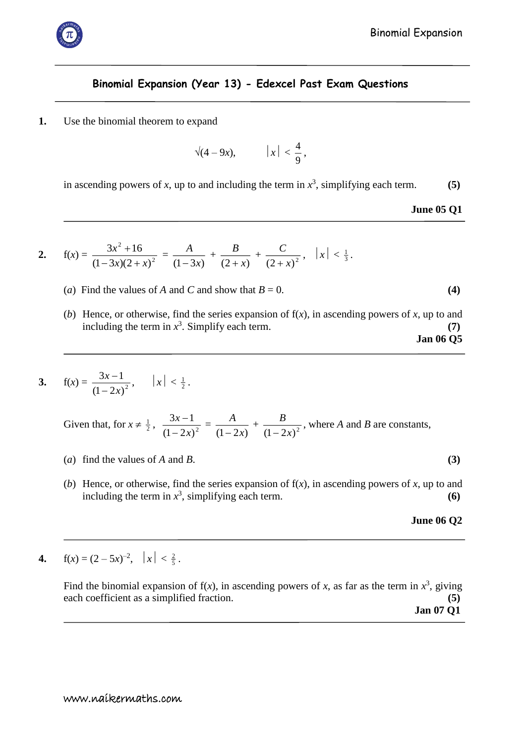

## **Binomial Expansion (Year 13) - Edexcel Past Exam Questions**

**1.** Use the binomial theorem to expand

$$
\sqrt{(4-9x)}, \qquad |x| < \frac{4}{9},
$$

in ascending powers of *x*, up to and including the term in  $x^3$ , simplifying each term. **(5)** 

**June 05 Q1**

2. 
$$
f(x) = \frac{3x^2 + 16}{(1-3x)(2+x)^2} = \frac{A}{(1-3x)} + \frac{B}{(2+x)} + \frac{C}{(2+x)^2}, \quad |x| < \frac{1}{3}.
$$

- (*a*) Find the values of *A* and *C* and show that  $B = 0$ . (4)
- (*b*) Hence, or otherwise, find the series expansion of f(*x*), in ascending powers of *x*, up to and including the term in  $x^3$ . Simplify each term.  $(7)$ **Jan 06 Q5**

3. 
$$
f(x) = \frac{3x-1}{(1-2x)^2}
$$
,  $|x| < \frac{1}{2}$ .

Given that, for  $x \neq \frac{1}{2}$ ,  $\frac{3x-1}{(1-2x)^2}$  $3x - 1$ *x x*  $\frac{-1}{\sqrt{2}}$  =  $(1 - 2x)$ *A*  $\frac{1}{(1-2x)^2}$  +  $\frac{b}{(1-2x)^2}$ *B*  $\frac{B}{(2\pi)^2}$ , where *A* and *B* are constants,

- (*a*) find the values of *A* and *B*.  $(3)$
- (*b*) Hence, or otherwise, find the series expansion of f(*x*), in ascending powers of *x*, up to and including the term in  $x^3$ , simplifying each term.  $(6)$

## **June 06 Q2**

**4.**  $f(x) = (2 - 5x)^{-2}, |x| < \frac{2}{5}$ .

Find the binomial expansion of  $f(x)$ , in ascending powers of *x*, as far as the term in  $x^3$ , giving each coefficient as a simplified fraction. **(5)**

 **Jan 07 Q1**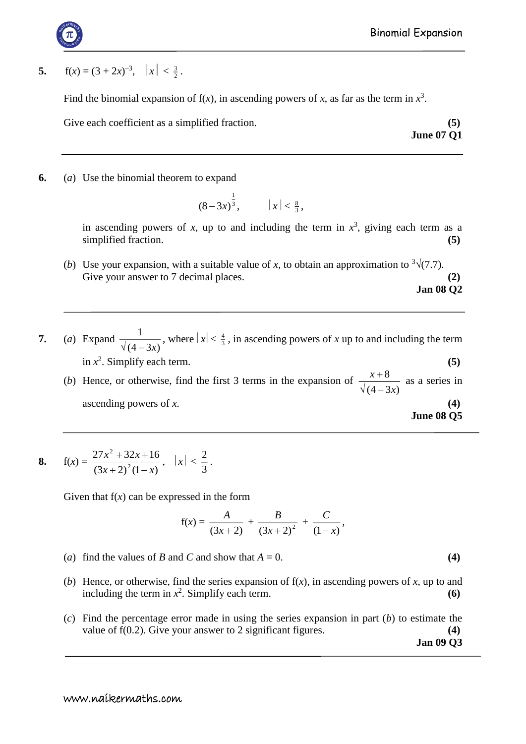**5.**  $f(x) = (3 + 2x)^{-3}, |x| < \frac{3}{2}$ .

Find the binomial expansion of  $f(x)$ , in ascending powers of x, as far as the term in  $x^3$ .

Give each coefficient as a simplified fraction. **(5)** (5)

**June 07 Q1**

**6.** (*a*) Use the binomial theorem to expand

$$
(8-3x)^{\frac{1}{3}},
$$
  $|x| < \frac{8}{3},$ 

in ascending powers of *x*, up to and including the term in  $x^3$ , giving each term as a simplified fraction. **(5)** (5)

- (*b*) Use your expansion, with a suitable value of *x*, to obtain an approximation to  $\sqrt[3]{(7.7)}$ . Give your answer to 7 decimal places. **(2) Jan 08 Q2**
- **7.** (*a*) Expand  $(4 - 3x)$ 1  $\frac{1}{\sqrt{(4-3x)}}$ , where  $|x| < \frac{4}{3}$ , in ascending powers of *x* up to and including the term in  $x^2$ . Simplify each term. **(5)** 8 *x*

(*b*) Hence, or otherwise, find the first 3 terms in the expansion of  $(4 - 3x)$ *x*  $\sqrt(4 \frac{+8}{1}$  as a series in ascending powers of *x*. **(4) June 08 Q5**

**8.** 
$$
f(x) = \frac{27x^2 + 32x + 16}{(3x + 2)^2(1 - x)}, |x| < \frac{2}{3}.
$$

Given that  $f(x)$  can be expressed in the form

$$
f(x) = \frac{A}{(3x+2)} + \frac{B}{(3x+2)^2} + \frac{C}{(1-x)},
$$

- (*a*) find the values of *B* and *C* and show that  $A = 0$ . (4)
- (*b*) Hence, or otherwise, find the series expansion of f(*x*), in ascending powers of *x*, up to and including the term in  $x^2$ . Simplify each term.  $(6)$
- (*c*) Find the percentage error made in using the series expansion in part (*b*) to estimate the value of f(0.2). Give your answer to 2 significant figures. **(4) Jan 09 Q3**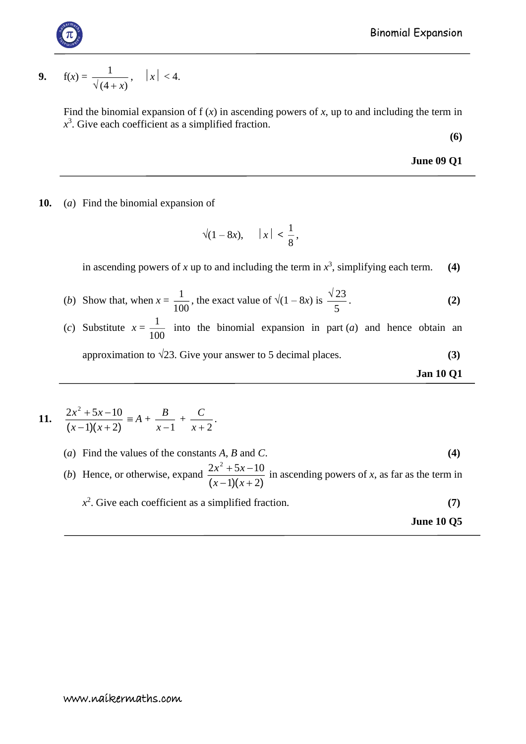**9.** 
$$
f(x) = \frac{1}{\sqrt{4+x}}, \quad |x| < 4.
$$

Find the binomial expansion of  $f(x)$  in ascending powers of x, up to and including the term in  $x^3$ . Give each coefficient as a simplified fraction.

**(6)**

**June 09 Q1**

**10.** (*a*) Find the binomial expansion of

$$
\sqrt{(1-8x)}, \quad |x| < \frac{1}{8},
$$

in ascending powers of x up to and including the term in  $x^3$ , simplifying each term. **(4)** 

- (*b*) Show that, when  $x = \frac{1}{100}$  $\frac{1}{\cos}$ , the exact value of  $\sqrt{(1-8x)}$  is 5  $\sqrt{23}$ . **(2)**
- (*c*) Substitute  $x = \frac{1}{100}$  $\frac{1}{\epsilon_0}$  into the binomial expansion in part (*a*) and hence obtain an approximation to  $\sqrt{23}$ . Give your answer to 5 decimal places. **(3)**

**Jan 10 Q1**

11. 
$$
\frac{2x^2+5x-10}{(x-1)(x+2)} \equiv A + \frac{B}{x-1} + \frac{C}{x+2}.
$$

(*a*) Find the values of the constants *A*, *B* and *C*. **(4)**

(*b*) Hence, or otherwise, expand  $(x-1)(x+2)$  $2x^2 + 5x - 10$  $-1$  ) (  $x +$  $+5x$  $x - 1$  *x*  $\frac{x + 5x - 10}{x}$  in ascending powers of *x*, as far as the term in  $x^2$ . Give each coefficient as a simplified fraction. **(7)** 

**June 10 Q5**